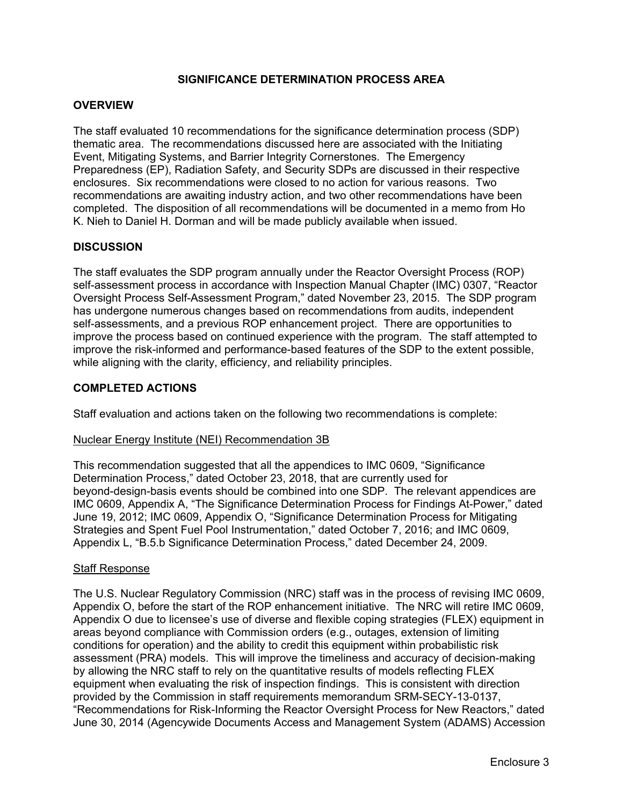## **SIGNIFICANCE DETERMINATION PROCESS AREA**

### **OVERVIEW**

The staff evaluated 10 recommendations for the significance determination process (SDP) thematic area. The recommendations discussed here are associated with the Initiating Event, Mitigating Systems, and Barrier Integrity Cornerstones. The Emergency Preparedness (EP), Radiation Safety, and Security SDPs are discussed in their respective enclosures. Six recommendations were closed to no action for various reasons. Two recommendations are awaiting industry action, and two other recommendations have been completed. The disposition of all recommendations will be documented in a memo from Ho K. Nieh to Daniel H. Dorman and will be made publicly available when issued.

### **DISCUSSION**

The staff evaluates the SDP program annually under the Reactor Oversight Process (ROP) self-assessment process in accordance with Inspection Manual Chapter (IMC) 0307, "Reactor Oversight Process Self-Assessment Program," dated November 23, 2015. The SDP program has undergone numerous changes based on recommendations from audits, independent self-assessments, and a previous ROP enhancement project. There are opportunities to improve the process based on continued experience with the program. The staff attempted to improve the risk-informed and performance-based features of the SDP to the extent possible, while aligning with the clarity, efficiency, and reliability principles.

### **COMPLETED ACTIONS**

Staff evaluation and actions taken on the following two recommendations is complete:

#### Nuclear Energy Institute (NEI) Recommendation 3B

This recommendation suggested that all the appendices to IMC 0609, "Significance Determination Process," dated October 23, 2018, that are currently used for beyond-design-basis events should be combined into one SDP. The relevant appendices are IMC 0609, Appendix A, "The Significance Determination Process for Findings At-Power," dated June 19, 2012; IMC 0609, Appendix O, "Significance Determination Process for Mitigating Strategies and Spent Fuel Pool Instrumentation," dated October 7, 2016; and IMC 0609, Appendix L, "B.5.b Significance Determination Process," dated December 24, 2009.

#### Staff Response

The U.S. Nuclear Regulatory Commission (NRC) staff was in the process of revising IMC 0609, Appendix O, before the start of the ROP enhancement initiative. The NRC will retire IMC 0609, Appendix O due to licensee's use of diverse and flexible coping strategies (FLEX) equipment in areas beyond compliance with Commission orders (e.g., outages, extension of limiting conditions for operation) and the ability to credit this equipment within probabilistic risk assessment (PRA) models. This will improve the timeliness and accuracy of decision-making by allowing the NRC staff to rely on the quantitative results of models reflecting FLEX equipment when evaluating the risk of inspection findings. This is consistent with direction provided by the Commission in staff requirements memorandum SRM-SECY-13-0137, "Recommendations for Risk-Informing the Reactor Oversight Process for New Reactors," dated June 30, 2014 (Agencywide Documents Access and Management System (ADAMS) Accession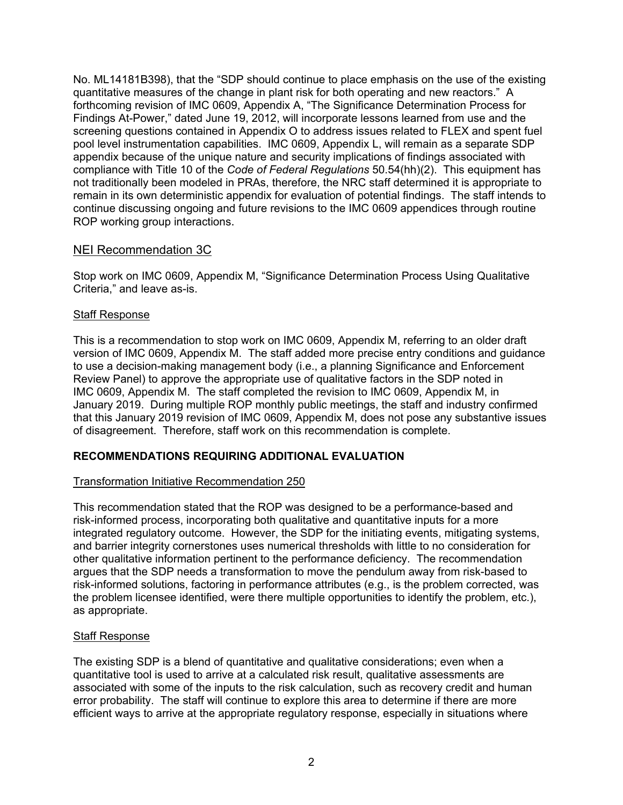No. ML14181B398), that the "SDP should continue to place emphasis on the use of the existing quantitative measures of the change in plant risk for both operating and new reactors." A forthcoming revision of IMC 0609, Appendix A, "The Significance Determination Process for Findings At-Power," dated June 19, 2012, will incorporate lessons learned from use and the screening questions contained in Appendix O to address issues related to FLEX and spent fuel pool level instrumentation capabilities. IMC 0609, Appendix L, will remain as a separate SDP appendix because of the unique nature and security implications of findings associated with compliance with Title 10 of the *Code of Federal Regulations* 50.54(hh)(2). This equipment has not traditionally been modeled in PRAs, therefore, the NRC staff determined it is appropriate to remain in its own deterministic appendix for evaluation of potential findings. The staff intends to continue discussing ongoing and future revisions to the IMC 0609 appendices through routine ROP working group interactions.

# NEI Recommendation 3C

Stop work on IMC 0609, Appendix M, "Significance Determination Process Using Qualitative Criteria," and leave as-is.

## Staff Response

This is a recommendation to stop work on IMC 0609, Appendix M, referring to an older draft version of IMC 0609, Appendix M. The staff added more precise entry conditions and guidance to use a decision-making management body (i.e., a planning Significance and Enforcement Review Panel) to approve the appropriate use of qualitative factors in the SDP noted in IMC 0609, Appendix M. The staff completed the revision to IMC 0609, Appendix M, in January 2019. During multiple ROP monthly public meetings, the staff and industry confirmed that this January 2019 revision of IMC 0609, Appendix M, does not pose any substantive issues of disagreement. Therefore, staff work on this recommendation is complete.

# **RECOMMENDATIONS REQUIRING ADDITIONAL EVALUATION**

## Transformation Initiative Recommendation 250

This recommendation stated that the ROP was designed to be a performance-based and risk-informed process, incorporating both qualitative and quantitative inputs for a more integrated regulatory outcome. However, the SDP for the initiating events, mitigating systems, and barrier integrity cornerstones uses numerical thresholds with little to no consideration for other qualitative information pertinent to the performance deficiency. The recommendation argues that the SDP needs a transformation to move the pendulum away from risk-based to risk-informed solutions, factoring in performance attributes (e.g., is the problem corrected, was the problem licensee identified, were there multiple opportunities to identify the problem, etc.), as appropriate.

## Staff Response

The existing SDP is a blend of quantitative and qualitative considerations; even when a quantitative tool is used to arrive at a calculated risk result, qualitative assessments are associated with some of the inputs to the risk calculation, such as recovery credit and human error probability. The staff will continue to explore this area to determine if there are more efficient ways to arrive at the appropriate regulatory response, especially in situations where